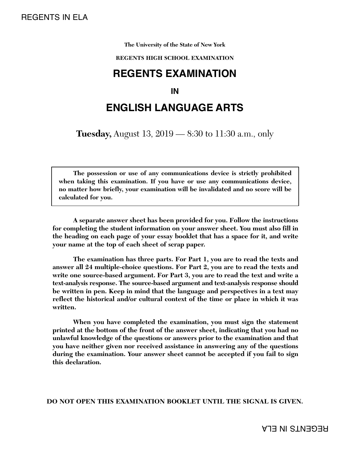**The University of the State of New York** 

#### **REGENTS HIGH SCHOOL EXAMINATION**

# **REGENTS EXAMINATION**

### **IN**

# **ENGLISH LANGUAGE ARTS**

**Tuesday,** August 13, 2019 — 8:30 to 11:30 a.m., only

**The possession or use of any communications device is strictly prohibited when taking this examination. If you have or use any communications device, no matter how briefly, your examination will be invalidated and no score will be calculated for you.**

**A separate answer sheet has been provided for you. Follow the instructions for completing the student information on your answer sheet. You must also fill in the heading on each page of your essay booklet that has a space for it, and write your name at the top of each sheet of scrap paper.** 

**The examination has three parts. For Part 1, you are to read the texts and answer all 24 multiple-choice questions. For Part 2, you are to read the texts and write one source-based argument. For Part 3, you are to read the text and write a text-analysis response. The source-based argument and text-analysis response should be written in pen. Keep in mind that the language and perspectives in a text may reflect the historical and/or cultural context of the time or place in which it was written.** 

**When you have completed the examination, you must sign the statement printed at the bottom of the front of the answer sheet, indicating that you had no unlawful knowledge of the questions or answers prior to the examination and that you have neither given nor received assistance in answering any of the questions during the examination. Your answer sheet cannot be accepted if you fail to sign this declaration.**

**DO NOT OPEN THIS EXAMINATION BOOKLET UNTIL THE SIGNAL IS GIVEN.**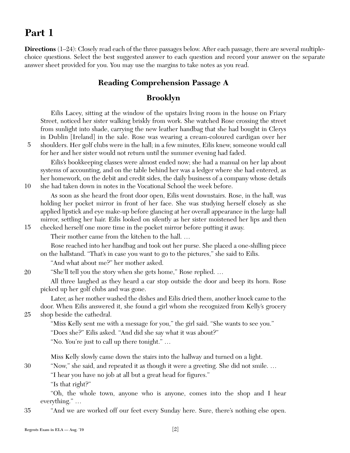# **Part 1**

**Directions**  $(1-24)$ : Closely read each of the three passages below. After each passage, there are several multiplechoice questions. Select the best suggested answer to each question and record your answer on the separate answer sheet provided for you. You may use the margins to take notes as you read.

# **Reading Comprehension Passage A**

## **Brooklyn**

Eilis Lacey, sitting at the window of the upstairs living room in the house on Friary Street, noticed her sister walking briskly from work. She watched Rose crossing the street from sunlight into shade, carrying the new leather handbag that she had bought in Clerys in Dublin [Ireland] in the sale. Rose was wearing a cream-coloured cardigan over her shoulders. Her golf clubs were in the hall; in a few minutes, Eilis knew, someone would call for her and her sister would not return until the summer evening had faded.

5

10

15

20

25

30

Eilis's bookkeeping classes were almost ended now; she had a manual on her lap about systems of accounting, and on the table behind her was a ledger where she had entered, as her homework, on the debit and credit sides, the daily business of a company whose details she had taken down in notes in the Vocational School the week before.

As soon as she heard the front door open, Eilis went downstairs. Rose, in the hall, was holding her pocket mirror in front of her face. She was studying herself closely as she applied lipstick and eye make-up before glancing at her overall appearance in the large hall mirror, settling her hair. Eilis looked on silently as her sister moistened her lips and then checked herself one more time in the pocket mirror before putting it away.

Their mother came from the kitchen to the hall. …

Rose reached into her handbag and took out her purse. She placed a one-shilling piece on the hallstand. "That's in case you want to go to the pictures," she said to Eilis.

"And what about me?" her mother asked.

"She'll tell you the story when she gets home," Rose replied. …

All three laughed as they heard a car stop outside the door and beep its horn. Rose picked up her golf clubs and was gone.

Later, as her mother washed the dishes and Eilis dried them, another knock came to the door. When Eilis answered it, she found a girl whom she recognized from Kelly's grocery shop beside the cathedral.

"Miss Kelly sent me with a message for you," the girl said. "She wants to see you." "Does she?" Eilis asked. "And did she say what it was about?"

"No. You're just to call up there tonight." …

Miss Kelly slowly came down the stairs into the hallway and turned on a light.

"Now," she said, and repeated it as though it were a greeting. She did not smile. …

"I hear you have no job at all but a great head for figures."

"Is that right?"

"Oh, the whole town, anyone who is anyone, comes into the shop and I hear everything." …

"And we are worked off our feet every Sunday here. Sure, there's nothing else open. 35

**Regents Exam in ELA — Aug. '19** [2]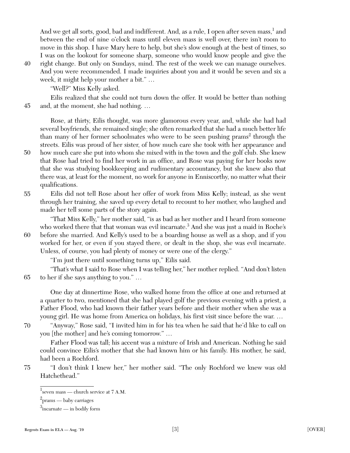And we get all sorts, good, bad and indifferent. And, as a rule, I open after seven mass, $^1$  and between the end of nine o'clock mass until eleven mass is well over, there isn't room to move in this shop. I have Mary here to help, but she's slow enough at the best of times, so I was on the lookout for someone sharp, someone who would know people and give the

right change. But only on Sundays, mind. The rest of the week we can manage ourselves. And you were recommended. I made inquiries about you and it would be seven and six a week, it might help your mother a bit." … 40

"Well?" Miss Kelly asked.

Eilis realized that she could not turn down the offer. It would be better than nothing and, at the moment, she had nothing. … 45

Rose, at thirty, Eilis thought, was more glamorous every year, and, while she had had several boyfriends, she remained single; she often remarked that she had a much better life than many of her former schoolmates who were to be seen pushing prams<sup>2</sup> through the streets. Eilis was proud of her sister, of how much care she took with her appearance and how much care she put into whom she mixed with in the town and the golf club. She knew

- that Rose had tried to find her work in an office, and Rose was paying for her books now that she was studying bookkeeping and rudimentary accountancy, but she knew also that there was, at least for the moment, no work for anyone in Enniscorthy, no matter what their qualifications.
- 55

50

Eilis did not tell Rose about her offer of work from Miss Kelly; instead, as she went through her training, she saved up every detail to recount to her mother, who laughed and made her tell some parts of the story again.

"That Miss Kelly," her mother said, "is as bad as her mother and I heard from someone who worked there that that woman was evil incarnate.3 And she was just a maid in Roche's before she married. And Kelly's used to be a boarding house as well as a shop, and if you worked for her, or even if you stayed there, or dealt in the shop, she was evil incarnate. Unless, of course, you had plenty of money or were one of the clergy." 60

"I'm just there until something turns up," Eilis said.

"That's what I said to Rose when I was telling her," her mother replied. "And don't listen to her if she says anything to you." … 65

One day at dinnertime Rose, who walked home from the office at one and returned at a quarter to two, mentioned that she had played golf the previous evening with a priest, a Father Flood, who had known their father years before and their mother when she was a young girl. He was home from America on holidays, his first visit since before the war. …

"Anyway," Rose said, "I invited him in for his tea when he said that he'd like to call on you [the mother] and he's coming tomorrow." … 70

Father Flood was tall; his accent was a mixture of Irish and American. Nothing he said could convince Eilis's mother that she had known him or his family. His mother, he said, had been a Rochford.

"I don't think I knew her," her mother said. "The only Rochford we knew was old Hatchethead." 75

<sup>1</sup> seven mass — church service at 7 A.M.

 $^{2}$ prams — baby carriages

<sup>3</sup> incarnate — in bodily form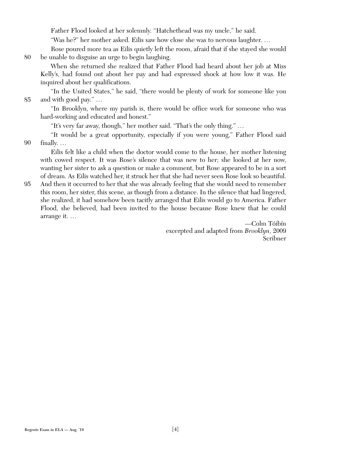Father Flood looked at her solemnly. "Hatchethead was my uncle," he said.

"Was he?" her mother asked. Eilis saw how close she was to nervous laughter. …

Rose poured more tea as Eilis quietly left the room, afraid that if she stayed she would be unable to disguise an urge to begin laughing.

80

85

When she returned she realized that Father Flood had heard about her job at Miss Kelly's, had found out about her pay and had expressed shock at how low it was. He inquired about her qualifications.

"In the United States," he said, "there would be plenty of work for someone like you and with good pay." …

"In Brooklyn, where my parish is, there would be office work for someone who was hard-working and educated and honest."

"It's very far away, though," her mother said. "That's the only thing." …

"It would be a great opportunity, especially if you were young," Father Flood said finally. … 90

Eilis felt like a child when the doctor would come to the house, her mother listening with cowed respect. It was Rose's silence that was new to her; she looked at her now, wanting her sister to ask a question or make a comment, but Rose appeared to be in a sort of dream. As Eilis watched her, it struck her that she had never seen Rose look so beautiful.

And then it occurred to her that she was already feeling that she would need to remember this room, her sister, this scene, as though from a distance. In the silence that had lingered, she realized, it had somehow been tacitly arranged that Eilis would go to America. Father Flood, she believed, had been invited to the house because Rose knew that he could arrange it. … 95

—Colm Tóibín excerpted and adapted from *Brooklyn*, 2009 Scribner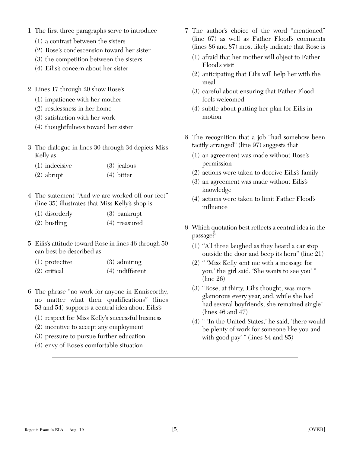- 1 The first three paragraphs serve to introduce
	- (1) a contrast between the sisters
	- (2) Rose's condescension toward her sister
	- (3) the competition between the sisters
	- (4) Eilis's concern about her sister
- 2 Lines 17 through 20 show Rose's
	- (1) impatience with her mother
	- (2) restlessness in her home
	- (3) satisfaction with her work
	- (4) thoughtfulness toward her sister
- 3 The dialogue in lines 30 through 34 depicts Miss Kelly as
	- (1) indecisive (3) jealous
	- (2) abrupt (4) bitter
- 4 The statement "And we are worked off our feet" (line 35) illustrates that Miss Kelly's shop is
	- (1) disorderly (3) bankrupt (2) bustling (4) treasured
- 5 Eilis's attitude toward Rose in lines 46 through 50 can best be described as
	- (1) protective (3) admiring
	- (2) critical (4) indifferent
- 6 The phrase "no work for anyone in Enniscorthy, no matter what their qualifications" (lines 53 and 54) supports a central idea about Eilis's
	- (1) respect for Miss Kelly's successful business
	- (2) incentive to accept any employment
	- (3) pressure to pursue further education
	- (4) envy of Rose's comfortable situation
- 7 The author's choice of the word "mentioned" (line 67) as well as Father Flood's comments (lines 86 and 87) most likely indicate that Rose is
	- (1) afraid that her mother will object to Father Flood's visit
	- (2) anticipating that Eilis will help her with the meal
	- (3) careful about ensuring that Father Flood feels welcomed
	- (4) subtle about putting her plan for Eilis in motion
- 8 The recognition that a job "had somehow been tacitly arranged" (line 97) suggests that
	- (1) an agreement was made without Rose's permission
	- (2) actions were taken to deceive Eilis's family
	- (3) an agreement was made without Eilis's knowledge
	- (4) actions were taken to limit Father Flood's influence
- 9 Which quotation best reflects a central idea in the passage?
	- (1) "All three laughed as they heard a car stop outside the door and beep its horn" (line 21)
	- (2) " 'Miss Kelly sent me with a message for you,' the girl said. 'She wants to see you' " (line 26)
	- (3) "Rose, at thirty, Eilis thought, was more glamorous every year, and, while she had had several boyfriends, she remained single" (lines 46 and 47)
	- (4) " 'In the United States,' he said, 'there would be plenty of work for someone like you and with good pay' " (lines 84 and 85)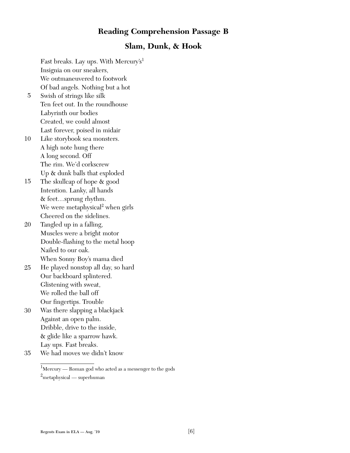## **Reading Comprehension Passage B**

# **Slam, Dunk, & Hook**

Fast breaks. Lay ups. With Mercury's<sup>1</sup> Insignia on our sneakers, We outmaneuvered to footwork Of bad angels. Nothing but a hot Swish of strings like silk Ten feet out. In the roundhouse Labyrinth our bodies Created, we could almost Last forever, poised in midair Like storybook sea monsters. A high note hung there A long second. Off The rim. We'd corkscrew Up & dunk balls that exploded The skullcap of hope & good Intention. Lanky, all hands & feet…sprung rhythm. We were metaphysical<sup>2</sup> when girls Cheered on the sidelines. Tangled up in a falling, Muscles were a bright motor Double-flashing to the metal hoop Nailed to our oak. When Sonny Boy's mama died He played nonstop all day, so hard Our backboard splintered. Glistening with sweat, We rolled the ball off Our fingertips. Trouble Was there slapping a blackjack Against an open palm. Dribble, drive to the inside, & glide like a sparrow hawk. Lay ups. Fast breaks. 5 10 15 20 25 30

We had moves we didn't know 35

<sup>&</sup>lt;sup>1</sup>Mercury — Roman god who acted as a messenger to the gods  $^{2}$ metaphysical — superhuman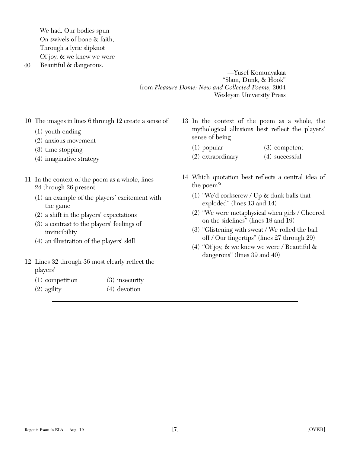We had. Our bodies spun On swivels of bone & faith, Through a lyric slipknot Of joy, & we knew we were Beautiful & dangerous.

> —Yusef Komunyakaa "Slam, Dunk, & Hook" from *Pleasure Dome: New and Collected Poems*, 2004 Wesleyan University Press

- 10 The images in lines 6 through 12 create a sense of
	- (1) youth ending

- (2) anxious movement
- (3) time stopping
- (4) imaginative strategy
- 11 In the context of the poem as a whole, lines 24 through 26 present
	- (1) an example of the players' excitement with the game
	- (2) a shift in the players' expectations
	- (3) a contrast to the players' feelings of invincibility
	- (4) an illustration of the players' skill
- 12 Lines 32 through 36 most clearly reflect the players'
	- (1) competition (3) insecurity
	- (2) agility (4) devotion
- 
- 13 In the context of the poem as a whole, the mythological allusions best reflect the players' sense of being
	- (1) popular (3) competent
	- (2) extraordinary (4) successful
- 14 Which quotation best reflects a central idea of the poem?
	- (1) "We'd corkscrew / Up & dunk balls that exploded" (lines 13 and 14)
	- (2) "We were metaphysical when girls / Cheered on the sidelines" (lines 18 and 19)
	- (3) "Glistening with sweat / We rolled the ball off / Our fingertips" (lines 27 through 29)
	- (4) "Of joy, & we knew we were / Beautiful & dangerous" (lines 39 and 40)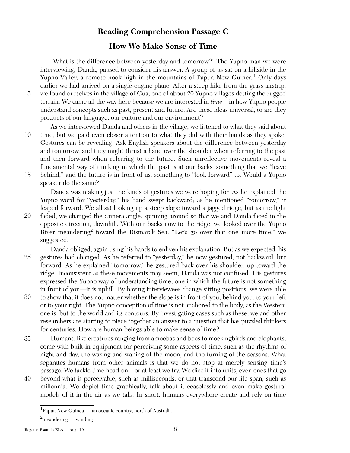## **Reading Comprehension Passage C**

## **How We Make Sense of Time**

"What is the difference between yesterday and tomorrow?" The Yupno man we were interviewing, Danda, paused to consider his answer. A group of us sat on a hillside in the Yupno Valley, a remote nook high in the mountains of Papua New Guinea.<sup>1</sup> Only days earlier we had arrived on a single-engine plane. After a steep hike from the grass airstrip,

we found ourselves in the village of Gua, one of about 20 Yupno villages dotting the rugged terrain. We came all the way here because we are interested in *time*—in how Yupno people understand concepts such as past, present and future. Are these ideas universal, or are they products of our language, our culture and our environment? 5

As we interviewed Danda and others in the village, we listened to what they said about time, but we paid even closer attention to what they did with their hands as they spoke. Gestures can be revealing. Ask English speakers about the difference between yesterday and tomorrow, and they might thrust a hand over the shoulder when referring to the past and then forward when referring to the future. Such unreflective movements reveal a fundamental way of thinking in which the past is at our backs, something that we "leave 10

behind," and the future is in front of us, something to "look forward" to. Would a Yupno speaker do the same? 15

Danda was making just the kinds of gestures we were hoping for. As he explained the Yupno word for "yesterday," his hand swept backward; as he mentioned "tomorrow," it leaped forward. We all sat looking up a steep slope toward a jagged ridge, but as the light faded, we changed the camera angle, spinning around so that we and Danda faced in the opposite direction, downhill. With our backs now to the ridge, we looked over the Yupno River meandering<sup>2</sup> toward the Bismarck Sea. "Let's go over that one more time," we suggested.

- Danda obliged, again using his hands to enliven his explanation. But as we expected, his gestures had changed. As he referred to "yesterday," he now gestured, not backward, but forward. As he explained "tomorrow," he gestured back over his shoulder, up toward the ridge. Inconsistent as these movements may seem, Danda was not confused. His gestures expressed the Yupno way of understanding time, one in which the future is not something in front of you—it is uphill. By having interviewees change sitting positions, we were able 25
- to show that it does not matter whether the slope is in front of you, behind you, to your left or to your right. The Yupno conception of time is not anchored to the body, as the Western one is, but to the world and its contours. By investigating cases such as these, we and other researchers are starting to piece together an answer to a question that has puzzled thinkers for centuries: How are human beings able to make sense of time? 30
- Humans, like creatures ranging from amoebas and bees to mockingbirds and elephants, come with built-in equipment for perceiving some aspects of time, such as the rhythms of night and day, the waxing and waning of the moon, and the turning of the seasons. What separates humans from other animals is that we do not stop at merely sensing time's passage. We tackle time head-on—or at least we try. We dice it into units, even ones that go 35
- beyond what is perceivable, such as milliseconds, or that transcend our life span, such as millennia. We depict time graphically, talk about it ceaselessly and even make gestural models of it in the air as we talk. In short, humans everywhere create and rely on time 40

<sup>1</sup> Papua New Guinea — an oceanic country, north of Australia

 $2^{\circ}$ meandering — winding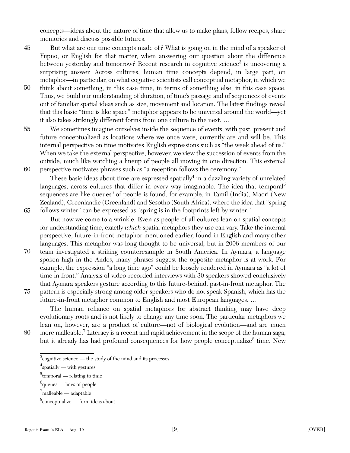concepts—ideas about the nature of time that allow us to make plans, follow recipes, share memories and discuss possible futures.

- But what are our time concepts made of? What is going on in the mind of a speaker of Yupno, or English for that matter, when answering our question about the difference between yesterday and tomorrow? Recent research in cognitive science<sup>3</sup> is uncovering a surprising answer. Across cultures, human time concepts depend, in large part, on metaphor—in particular, on what cognitive scientists call conceptual metaphor, in which we 45
- think about something, in this case time, in terms of something else, in this case space. Thus, we build our understanding of duration, of time's passage and of sequences of events out of familiar spatial ideas such as size, movement and location. The latest findings reveal that this basic "time is like space" metaphor appears to be universal around the world—yet it also takes strikingly different forms from one culture to the next. … 50
- We sometimes imagine ourselves inside the sequence of events, with past, present and future conceptualized as locations where we once were, currently are and will be. This internal perspective on time motivates English expressions such as "the week ahead of us." When we take the external perspective, however, we view the succession of events from the outside, much like watching a lineup of people all moving in one direction. This external perspective motivates phrases such as "a reception follows the ceremony." 55 60

These basic ideas about time are expressed spatially<sup>4</sup> in a dazzling variety of unrelated languages, across cultures that differ in every way imaginable. The idea that temporal<sup>5</sup> sequences are like queues<sup>6</sup> of people is found, for example, in Tamil (India), Maori (New Zealand), Greenlandic (Greenland) and Sesotho (South Africa), where the idea that "spring follows winter" can be expressed as "spring is in the footprints left by winter."

But now we come to a wrinkle. Even as people of all cultures lean on spatial concepts for understanding time, exactly *which* spatial metaphors they use can vary. Take the internal perspective, future-in-front metaphor mentioned earlier, found in English and many other languages. This metaphor was long thought to be universal, but in 2006 members of our

team investigated a striking counterexample in South America. In Aymara, a language spoken high in the Andes, many phrases suggest the opposite metaphor is at work. For example, the expression "a long time ago" could be loosely rendered in Aymara as "a lot of time in front." Analysis of video-recorded interviews with 30 speakers showed conclusively that Aymara speakers gesture according to this future-behind, past-in-front metaphor. The pattern is especially strong among older speakers who do not speak Spanish, which has the future-in-front metaphor common to English and most European languages. … 70 75

The human reliance on spatial metaphors for abstract thinking may have deep evolutionary roots and is not likely to change any time soon. The particular metaphors we lean on, however, are a product of culture—not of biological evolution—and are much more malleable.<sup>7</sup> Literacy is a recent and rapid achievement in the scope of the human saga,

80

but it already has had profound consequences for how people conceptualize<sup>8</sup> time. New

 $3$ cognitive science — the study of the mind and its processes

<sup>4</sup> spatially — with gestures

<sup>&</sup>lt;sup>5</sup>temporal — relating to time

<sup>6</sup> queues — lines of people

<sup>7</sup> malleable — adaptable

<sup>8</sup> conceptualize — form ideas about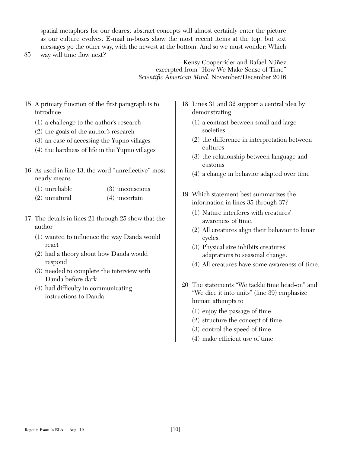spatial metaphors for our dearest abstract concepts will almost certainly enter the picture as our culture evolves. E-mail in-boxes show the most recent items at the top, but text messages go the other way, with the newest at the bottom. And so we must wonder: Which

way will time flow next? 85

—Kensy Cooperrider and Rafael Núñez excerpted from "How We Make Sense of Time" *Scientific American Mind*, November/December 2016

- 15 A primary function of the first paragraph is to introduce
	- (1) a challenge to the author's research
	- (2) the goals of the author's research
	- (3) an ease of accessing the Yupno villages
	- (4) the hardness of life in the Yupno villages
- 16 As used in line 13, the word "unreflective" most nearly means
	- (1) unreliable (3) unconscious
	- (2) unnatural (4) uncertain
- 17 The details in lines 21 through 25 show that the author
	- (1) wanted to influence the way Danda would react
	- (2) had a theory about how Danda would respond
	- (3) needed to complete the interview with Danda before dark
	- (4) had difficulty in communicating instructions to Danda
- 18 Lines 31 and 32 support a central idea by demonstrating
	- (1) a contrast between small and large societies
	- (2) the difference in interpretation between cultures
	- (3) the relationship between language and customs
	- (4) a change in behavior adapted over time
- 19 Which statement best summarizes the information in lines 35 through 37?
	- (1) Nature interferes with creatures' awareness of time.
	- (2) All creatures align their behavior to lunar cycles.
	- (3) Physical size inhibits creatures' adaptations to seasonal change.
	- (4) All creatures have some awareness of time.
- 20 The statements "We tackle time head-on" and "We dice it into units" (line 39) emphasize human attempts to
	- (1) enjoy the passage of time
	- (2) structure the concept of time
	- (3) control the speed of time
	- (4) make efficient use of time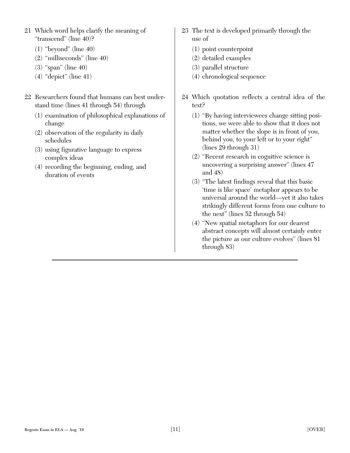- 21 Which word helps clarify the meaning of "transcend" (line 40)?
	- (1) "beyond" (line 40)
	- (2) "milliseconds" (line 40)
	- (3) "span" (line 40)
	- (4) "depict" (line 41)
- 22 Researchers found that humans can best understand time (lines 41 through 54) through
	- (1) examination of philosophical explanations of change
	- (2) observation of the regularity in daily schedules
	- (3) using figurative language to express complex ideas
	- (4) recording the beginning, ending, and duration of events
- 23 The text is developed primarily through the use of
	- (1) point counterpoint
	- (2) detailed examples
	- (3) parallel structure
	- (4) chronological sequence
- 24 Which quotation reflects a central idea of the text?
	- (1) "By having interviewees change sitting positions, we were able to show that it does not matter whether the slope is in front of you, behind you, to your left or to your right" (lines 29 through 31)
	- (2) "Recent research in cognitive science is uncovering a surprising answer" (lines 47 and 48)
	- (3) "The latest findings reveal that this basic 'time is like space' metaphor appears to be universal around the world—yet it also takes strikingly different forms from one culture to the next" (lines 52 through 54)
	- (4) "New spatial metaphors for our dearest abstract concepts will almost certainly enter the picture as our culture evolves" (lines 81 through 83)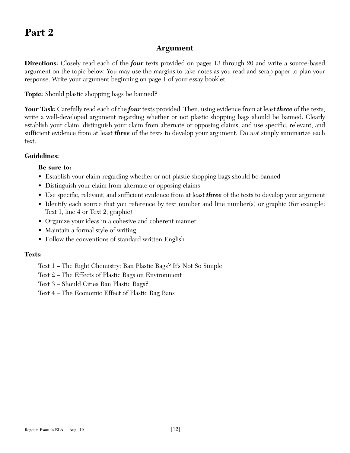# **Part 2**

# **Argument**

**Directions:** Closely read each of the *four* texts provided on pages 13 through 20 and write a source-based argument on the topic below. You may use the margins to take notes as you read and scrap paper to plan your response. Write your argument beginning on page 1 of your essay booklet.

**Topic:** Should plastic shopping bags be banned?

**Your Task:** Carefully read each of the *four* texts provided. Then, using evidence from at least *three* of the texts, write a well-developed argument regarding whether or not plastic shopping bags should be banned. Clearly establish your claim, distinguish your claim from alternate or opposing claims, and use specific, relevant, and sufficient evidence from at least *three* of the texts to develop your argument. Do *not* simply summarize each text.

## **Guidelines:**

## **Be sure to:**

- Establish your claim regarding whether or not plastic shopping bags should be banned
- Distinguish your claim from alternate or opposing claims
- Use specific, relevant, and sufficient evidence from at least *three* of the texts to develop your argument
- Identify each source that you reference by text number and line number(s) or graphic (for example: Text 1, line 4 or Text 2, graphic)
- Organize your ideas in a cohesive and coherent manner
- Maintain a formal style of writing
- Follow the conventions of standard written English

## **Texts:**

- Text 1 The Right Chemistry: Ban Plastic Bags? It's Not So Simple
- Text 2 The Effects of Plastic Bags on Environment
- Text 3 Should Cities Ban Plastic Bags?
- Text 4 The Economic Effect of Plastic Bag Bans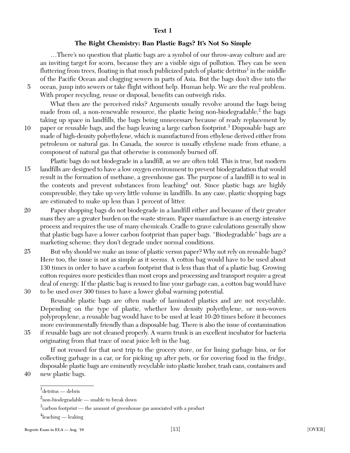#### **The Right Chemistry: Ban Plastic Bags? It's Not So Simple**

…There's no question that plastic bags are a symbol of our throw-away culture and are an inviting target for scorn, because they are a visible sign of pollution. They can be seen fluttering from trees, floating in that much publicized patch of plastic detritus<sup>1</sup> in the middle of the Pacific Ocean and clogging sewers in parts of Asia. But the bags don't dive into the ocean, jump into sewers or take flight without help. Human help. We are the real problem. With proper recycling, reuse or disposal, benefits can outweigh risks.

5

What then are the perceived risks? Arguments usually revolve around the bags being made from oil, a non-renewable resource, the plastic being non-biodegradable,<sup>2</sup> the bags taking up space in landfills, the bags being unnecessary because of ready replacement by

- paper or reusable bags, and the bags leaving a large carbon footprint.<sup>3</sup> Disposable bags are made of high-density polyethylene, which is manufactured from ethylene derived either from petroleum or natural gas. In Canada, the source is usually ethylene made from ethane, a component of natural gas that otherwise is commonly burned off. 10
- Plastic bags do not biodegrade in a landfill, as we are often told. This is true, but modern landfills are designed to have a low oxygen environment to prevent biodegradation that would result in the formation of methane, a greenhouse gas. The purpose of a landfill is to seal in the contents and prevent substances from leaching<sup>4</sup> out. Since plastic bags are highly compressible, they take up very little volume in landfills. In any case, plastic shopping bags are estimated to make up less than 1 percent of litter. 15
- Paper shopping bags do not biodegrade in a landfill either and because of their greater mass they are a greater burden on the waste stream. Paper manufacture is an energy intensive process and requires the use of many chemicals. Cradle to grave calculations generally show that plastic bags have a lower carbon footprint than paper bags. "Biodegradable" bags are a marketing scheme; they don't degrade under normal conditions. 20
- But why should we make an issue of plastic versus paper? Why not rely on reusable bags? Here too, the issue is not as simple as it seems. A cotton bag would have to be used about 130 times in order to have a carbon footprint that is less than that of a plastic bag. Growing cotton requires more pesticides than most crops and processing and transport require a great deal of energy. If the plastic bag is reused to line your garbage can, a cotton bag would have to be used over 300 times to have a lower global warming potential. 25 30

Reusable plastic bags are often made of laminated plastics and are not recyclable. Depending on the type of plastic, whether low density polyethylene, or non-woven polypropylene, a reusable bag would have to be used at least 10-20 times before it becomes more environmentally friendly than a disposable bag. There is also the issue of contamination if reusable bags are not cleaned properly. A warm trunk is an excellent incubator for bacteria originating from that trace of meat juice left in the bag.

If not reused for that next trip to the grocery store, or for lining garbage bins, or for collecting garbage in a car, or for picking up after pets, or for covering food in the fridge, disposable plastic bags are eminently recyclable into plastic lumber, trash cans, containers and new plastic bags.

1 detritus — debris

35

 $^{2}$ non-biodegradable — unable to break down

 $3$  carbon footprint — the amount of greenhouse gas associated with a product

<sup>&</sup>lt;sup>4</sup>leaching — leaking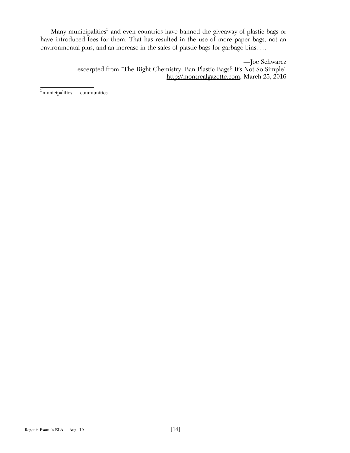Many municipalities<sup>5</sup> and even countries have banned the giveaway of plastic bags or have introduced fees for them. That has resulted in the use of more paper bags, not an environmental plus, and an increase in the sales of plastic bags for garbage bins. …

> —Joe Schwarcz excerpted from "The Right Chemistry: Ban Plastic Bags? It's Not So Simple" http://montrealgazette.com, March 25, 2016

 $^5$ municipalities — communities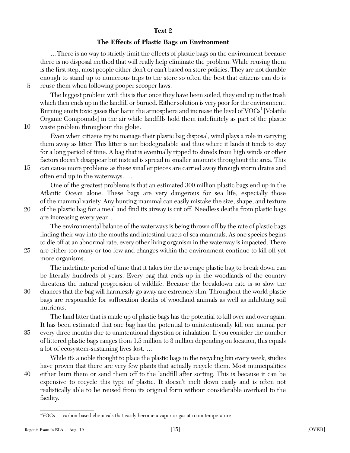#### **The Effects of Plastic Bags on Environment**

…There is no way to strictly limit the effects of plastic bags on the environment because there is no disposal method that will really help eliminate the problem. While reusing them is the first step, most people either don't or can't based on store policies. They are not durable enough to stand up to numerous trips to the store so often the best that citizens can do is reuse them when following pooper scooper laws.

The biggest problem with this is that once they have been soiled, they end up in the trash which then ends up in the landfill or burned. Either solution is very poor for the environment. Burning emits toxic gases that harm the atmosphere and increase the level of  $\rm VOCs^1$  [Volatile Organic Compounds] in the air while landfills hold them indefinitely as part of the plastic waste problem throughout the globe.

10

5

Even when citizens try to manage their plastic bag disposal, wind plays a role in carrying them away as litter. This litter is not biodegradable and thus where it lands it tends to stay for a long period of time. A bag that is eventually ripped to shreds from high winds or other factors doesn't disappear but instead is spread in smaller amounts throughout the area. This can cause more problems as these smaller pieces are carried away through storm drains and

15

20

30

One of the greatest problems is that an estimated 300 million plastic bags end up in the Atlantic Ocean alone. These bags are very dangerous for sea life, especially those of the mammal variety. Any hunting mammal can easily mistake the size, shape, and texture of the plastic bag for a meal and find its airway is cut off. Needless deaths from plastic bags

are increasing every year. …

often end up in the waterways. …

The environmental balance of the waterways is being thrown off by the rate of plastic bags finding their way into the mouths and intestinal tracts of sea mammals. As one species begins to die off at an abnormal rate, every other living organism in the waterway is impacted. There are either too many or too few and changes within the environment continue to kill off yet

more organisms. 25

The indefinite period of time that it takes for the average plastic bag to break down can be literally hundreds of years. Every bag that ends up in the woodlands of the country threatens the natural progression of wildlife. Because the breakdown rate is so slow the chances that the bag will harmlessly go away are extremely slim. Throughout the world plastic bags are responsible for suffocation deaths of woodland animals as well as inhibiting soil nutrients.

The land litter that is made up of plastic bags has the potential to kill over and over again. It has been estimated that one bag has the potential to unintentionally kill one animal per every three months due to unintentional digestion or inhalation. If you consider the number of littered plastic bags ranges from 1.5 million to 3 million depending on location, this equals a lot of ecosystem-sustaining lives lost. … 35

While it's a noble thought to place the plastic bags in the recycling bin every week, studies have proven that there are very few plants that actually recycle them. Most municipalities

either burn them or send them off to the landfill after sorting. This is because it can be expensive to recycle this type of plastic. It doesn't melt down easily and is often not realistically able to be reused from its original form without considerable overhaul to the facility. 40

<sup>&</sup>lt;sup>1</sup>VOCs — carbon-based chemicals that easily become a vapor or gas at room temperature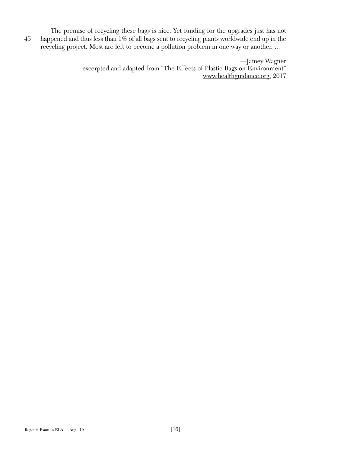The premise of recycling these bags is nice. Yet funding for the upgrades just has not happened and thus less than 1% of all bags sent to recycling plants worldwide end up in the recycling project. Most are left to become a pollution problem in one way or another. … 45

> —Jamey Wagner excerpted and adapted from "The Effects of Plastic Bags on Environment" www.healthguidance.org, 2017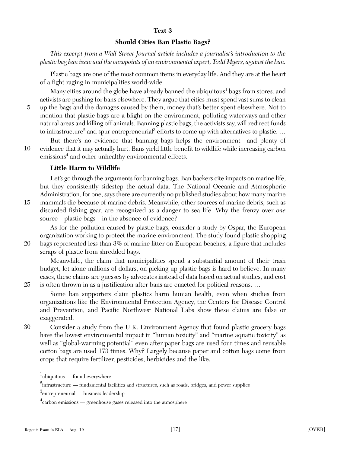#### **Should Cities Ban Plastic Bags?**

*This excerpt from a Wall Street Journal article includes a journalist's introduction to the plastic bag ban issue and the viewpoints of an environmental expert, Todd Myers, against the ban.*

Plastic bags are one of the most common items in everyday life. And they are at the heart of a fight raging in municipalities world-wide.

Many cities around the globe have already banned the ubiquitous<sup>1</sup> bags from stores, and activists are pushing for bans elsewhere. They argue that cities must spend vast sums to clean up the bags and the damages caused by them, money that's better spent elsewhere. Not to

mention that plastic bags are a blight on the environment, polluting waterways and other natural areas and killing off animals. Banning plastic bags, the activists say, will redirect funds to infrastructure $^2$  and spur entrepreneurial $^3$  efforts to come up with alternatives to plastic.  $\ldots$ 5

But there's no evidence that banning bags helps the environment—and plenty of evidence that it may actually hurt. Bans yield little benefit to wildlife while increasing carbon emissions<sup>4</sup> and other unhealthy environmental effects. 10

#### **Little Harm to Wildlife**

15

20

Let's go through the arguments for banning bags. Ban backers cite impacts on marine life, but they consistently sidestep the actual data. The National Oceanic and Atmospheric Administration, for one, says there are currently no published studies about how many marine mammals die because of marine debris. Meanwhile, other sources of marine debris, such as discarded fishing gear, are recognized as a danger to sea life. Why the frenzy over *one*  source—plastic bags—in the absence of evidence?

As for the pollution caused by plastic bags, consider a study by Ospar, the European organization working to protect the marine environment. The study found plastic shopping bags represented less than 3% of marine litter on European beaches, a figure that includes scraps of plastic from shredded bags.

Meanwhile, the claim that municipalities spend a substantial amount of their trash budget, let alone millions of dollars, on picking up plastic bags is hard to believe. In many cases, these claims are guesses by advocates instead of data based on actual studies, and cost

is often thrown in as a justification after bans are enacted for political reasons. … 25

Some ban supporters claim plastics harm human health, even when studies from organizations like the Environmental Protection Agency, the Centers for Disease Control and Prevention, and Pacific Northwest National Labs show these claims are false or exaggerated.

Consider a study from the U.K. Environment Agency that found plastic grocery bags have the lowest environmental impact in "human toxicity" and "marine aquatic toxicity" as well as "global-warming potential" even after paper bags are used four times and reusable cotton bags are used 173 times. Why? Largely because paper and cotton bags come from crops that require fertilizer, pesticides, herbicides and the like. 30

<sup>1</sup> ubiquitous — found everywhere

 $\frac{2}{3}$ infrastructure — fundamental facilities and structures, such as roads, bridges, and power supplies

<sup>3</sup> entrepreneurial — business leadership

<sup>4</sup> carbon emissions — greenhouse gases released into the atmosphere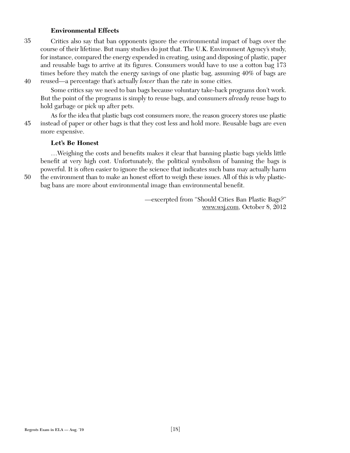#### **Environmental Effects**

Critics also say that ban opponents ignore the environmental impact of bags over the course of their lifetime. But many studies do just that. The U.K. Environment Agency's study, for instance, compared the energy expended in creating, using and disposing of plastic, paper and reusable bags to arrive at its figures. Consumers would have to use a cotton bag 173 times before they match the energy savings of one plastic bag, assuming 40% of bags are reused—a percentage that's actually *lower* than the rate in some cities. 40 35

Some critics say we need to ban bags because voluntary take-back programs don't work. But the point of the programs is simply to reuse bags, and consumers *already* reuse bags to hold garbage or pick up after pets.

As for the idea that plastic bags cost consumers more, the reason grocery stores use plastic instead of paper or other bags is that they cost less and hold more. Reusable bags are even more expensive. 45

#### **Let's Be Honest**

…Weighing the costs and benefits makes it clear that banning plastic bags yields little benefit at very high cost. Unfortunately, the political symbolism of banning the bags is powerful. It is often easier to ignore the science that indicates such bans may actually harm the environment than to make an honest effort to weigh these issues. All of this is why plasticbag bans are more about environmental image than environmental benefit.

> —excerpted from "Should Cities Ban Plastic Bags?" www.wsj.com, October 8, 2012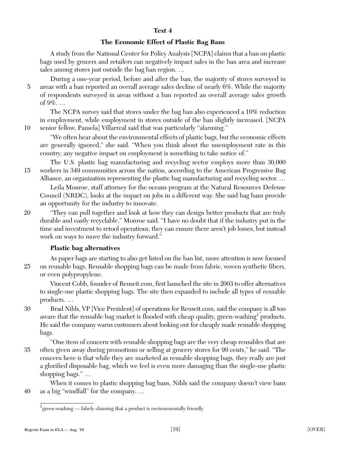#### **The Economic Effect of Plastic Bag Bans**

A study from the National Center for Policy Analysis [NCPA] claims that a ban on plastic bags used by grocers and retailers can negatively impact sales in the ban area and increase sales among stores just outside the bag ban region. …

During a one-year period, before and after the ban, the majority of stores surveyed in areas with a ban reported an overall average sales decline of nearly 6%. While the majority of respondents surveyed in areas without a ban reported an overall average sales growth of 9%. … 5

The NCPA survey said that stores under the bag ban also experienced a 10% reduction in employment, while employment in stores outside of the ban slightly increased. [NCPA senior fellow, Pamela] Villarreal said that was particularly "alarming."

"We often hear about the environmental effects of plastic bags, but the economic effects are generally ignored," she said. "When you think about the unemployment rate in this country, any negative impact on employment is something to take notice of."

The U.S. plastic bag manufacturing and recycling sector employs more than 30,000 workers in 349 communities across the nation, according to the American Progressive Bag Alliance, an organization representing the plastic bag manufacturing and recycling sector. … 15

Leila Monroe, staff attorney for the oceans program at the Natural Resources Defense Council (NRDC), looks at the impact on jobs in a different way. She said bag bans provide an opportunity for the industry to innovate.

"They can pull together and look at how they can design better products that are truly durable and easily recyclable," Monroe said. "I have no doubt that if the industry put in the time and investment to retool operations, they can ensure there aren't job losses, but instead work on ways to move the industry forward." 20

#### **Plastic bag alternatives**

10

As paper bags are starting to also get listed on the ban list, more attention is now focused on reusable bags. Reusable shopping bags can be made from fabric, woven synthetic fibers, or even polypropylene. 25

Vincent Cobb, founder of Reuseit.com, first launched the site in 2003 to offer alternatives to single-use plastic shopping bags. The site then expanded to include all types of reusable products. …

Brad Nihls, VP [Vice President] of operations for Reuseit.com, said the company is all too aware that the reusable bag market is flooded with cheap quality, green-washing<sup>1</sup> products. He said the company warns customers about looking out for cheaply made reusable shopping bags. 30

"One item of concern with reusable shopping bags are the very cheap reusables that are often given away during promotions or selling at grocery stores for 99 cents," he said. "The concern here is that while they are marketed as reusable shopping bags, they really are just a glorified disposable bag, which we feel is even more damaging than the single-use plastic shopping bags." … 35

When it comes to plastic shopping bag bans, Nihls said the company doesn't view bans as a big "windfall" for the company. … 40

<sup>&</sup>lt;sup>1</sup>green-washing — falsely claiming that a product is environmentally friendly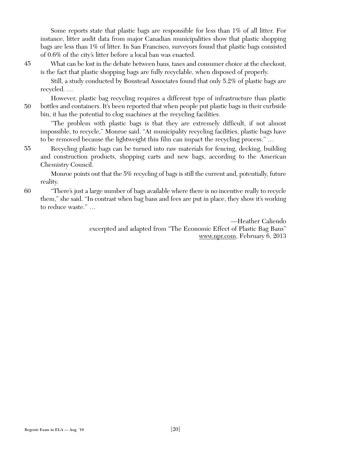Some reports state that plastic bags are responsible for less than 1% of all litter. For instance, litter audit data from major Canadian municipalities show that plastic shopping bags are less than 1% of litter. In San Francisco, surveyors found that plastic bags consisted of 0.6% of the city's litter before a local ban was enacted.

45

What can be lost in the debate between bans, taxes and consumer choice at the checkout, is the fact that plastic shopping bags are fully recyclable, when disposed of properly.

Still, a study conducted by Boustead Associates found that only 5.2% of plastic bags are recycled. …

However, plastic bag recycling requires a different type of infrastructure than plastic bottles and containers. It's been reported that when people put plastic bags in their curbside bin, it has the potential to clog machines at the recycling facilities. 50

"The problem with plastic bags is that they are extremely difficult, if not almost impossible, to recycle," Monroe said. "At municipality recycling facilities, plastic bags have to be removed because the lightweight thin film can impact the recycling process." …

55

Recycling plastic bags can be turned into raw materials for fencing, decking, building and construction products, shopping carts and new bags, according to the American Chemistry Council.

Monroe points out that the 5% recycling of bags is still the current and, potentially, future reality.

"There's just a large number of bags available where there is no incentive really to recycle them," she said. "In contrast when bag bans and fees are put in place, they show it's working to reduce waste." … 60

> —Heather Caliendo excerpted and adapted from "The Economic Effect of Plastic Bag Bans" www.npr.com, February 6, 2013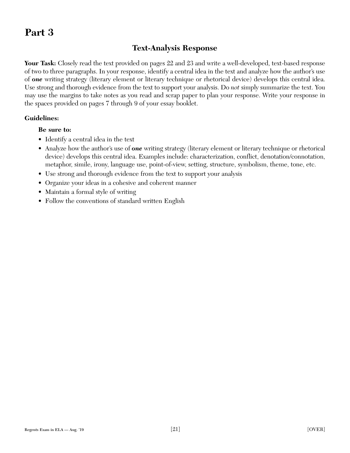# **Part 3**

# **Text-Analysis Response**

Your Task: Closely read the text provided on pages 22 and 23 and write a well-developed, text-based response of two to three paragraphs. In your response, identify a central idea in the text and analyze how the author's use of *one* writing strategy (literary element or literary technique or rhetorical device) develops this central idea. Use strong and thorough evidence from the text to support your analysis. Do *not* simply summarize the text. You may use the margins to take notes as you read and scrap paper to plan your response. Write your response in the spaces provided on pages 7 through 9 of your essay booklet.

## **Guidelines:**

## **Be sure to:**

- Identify a central idea in the text
- Analyze how the author's use of *one* writing strategy (literary element or literary technique or rhetorical device) develops this central idea. Examples include: characterization, conflict, denotation/connotation, metaphor, simile, irony, language use, point-of-view, setting, structure, symbolism, theme, tone, etc.
- Use strong and thorough evidence from the text to support your analysis
- Organize your ideas in a cohesive and coherent manner
- Maintain a formal style of writing
- Follow the conventions of standard written English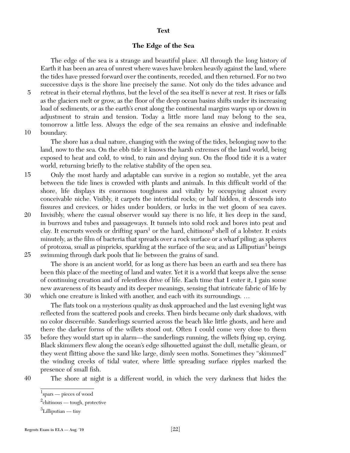#### **The Edge of the Sea**

The edge of the sea is a strange and beautiful place. All through the long history of Earth it has been an area of unrest where waves have broken heavily against the land, where the tides have pressed forward over the continents, receded, and then returned. For no two successive days is the shore line precisely the same. Not only do the tides advance and retreat in their eternal rhythms, but the level of the sea itself is never at rest. It rises or falls as the glaciers melt or grow, as the floor of the deep ocean basins shifts under its increasing load of sediments, or as the earth's crust along the continental margins warps up or down in adjustment to strain and tension. Today a little more land may belong to the sea, tomorrow a little less. Always the edge of the sea remains an elusive and indefinable boundary.

10

5

The shore has a dual nature, changing with the swing of the tides, belonging now to the land, now to the sea. On the ebb tide it knows the harsh extremes of the land world, being exposed to heat and cold, to wind, to rain and drying sun. On the flood tide it is a water world, returning briefly to the relative stability of the open sea.

- Only the most hardy and adaptable can survive in a region so mutable, yet the area between the tide lines is crowded with plants and animals. In this difficult world of the shore, life displays its enormous toughness and vitality by occupying almost every conceivable niche. Visibly, it carpets the intertidal rocks; or half hidden, it descends into fissures and crevices, or hides under boulders, or lurks in the wet gloom of sea caves. 15
- Invisibly, where the casual observer would say there is no life, it lies deep in the sand, in burrows and tubes and passageways. It tunnels into solid rock and bores into peat and clay. It encrusts weeds or drifting  $sprs<sup>1</sup>$  or the hard, chitinous<sup>2</sup> shell of a lobster. It exists minutely, as the film of bacteria that spreads over a rock surface or a wharf piling; as spheres of protozoa, small as pinpricks, sparkling at the surface of the sea; and as Lilliputian<sup>3</sup> beings swimming through dark pools that lie between the grains of sand. 20 25

The shore is an ancient world, for as long as there has been an earth and sea there has been this place of the meeting of land and water. Yet it is a world that keeps alive the sense of continuing creation and of relentless drive of life. Each time that I enter it, I gain some new awareness of its beauty and its deeper meanings, sensing that intricate fabric of life by which one creature is linked with another, and each with its surroundings. ...

The flats took on a mysterious quality as dusk approached and the last evening light was reflected from the scattered pools and creeks. Then birds became only dark shadows, with no color discernible. Sanderlings scurried across the beach like little ghosts, and here and there the darker forms of the willets stood out. Often I could come very close to them

before they would start up in alarm—the sanderlings running, the willets flying up, crying. Black skimmers flew along the ocean's edge silhouetted against the dull, metallic gleam, or they went flitting above the sand like large, dimly seen moths. Sometimes they "skimmed" the winding creeks of tidal water, where little spreading surface ripples marked the presence of small fish. 35

40

The shore at night is a different world, in which the very darkness that hides the

<sup>1</sup> spars — pieces of wood

 $^{2}$ chitinous — tough, protective

 $^3$ Lilliputian — tiny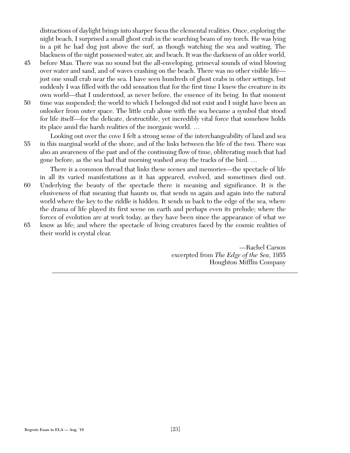distractions of daylight brings into sharper focus the elemental realities. Once, exploring the night beach, I surprised a small ghost crab in the searching beam of my torch. He was lying in a pit he had dug just above the surf, as though watching the sea and waiting. The blackness of the night possessed water, air, and beach. It was the darkness of an older world,

- before Man. There was no sound but the all-enveloping, primeval sounds of wind blowing over water and sand, and of waves crashing on the beach. There was no other visible life just one small crab near the sea. I have seen hundreds of ghost crabs in other settings, but suddenly I was filled with the odd sensation that for the first time I knew the creature in its own world—that I understood, as never before, the essence of its being. In that moment 45
- time was suspended; the world to which I belonged did not exist and I might have been an onlooker from outer space. The little crab alone with the sea became a symbol that stood for life itself—for the delicate, destructible, yet incredibly vital force that somehow holds its place amid the harsh realities of the inorganic world. … 50

Looking out over the cove I felt a strong sense of the interchangeability of land and sea in this marginal world of the shore, and of the links between the life of the two. There was also an awareness of the past and of the continuing flow of time, obliterating much that had gone before, as the sea had that morning washed away the tracks of the bird. … 55

There is a common thread that links these scenes and memories—the spectacle of life in all its varied manifestations as it has appeared, evolved, and sometimes died out. Underlying the beauty of the spectacle there is meaning and significance. It is the elusiveness of that meaning that haunts us, that sends us again and again into the natural world where the key to the riddle is hidden. It sends us back to the edge of the sea, where the drama of life played its first scene on earth and perhaps even its prelude; where the 60

forces of evolution are at work today, as they have been since the appearance of what we know as life; and where the spectacle of living creatures faced by the cosmic realities of their world is crystal clear. 65

> —Rachel Carson excerpted from *The Edge of the Sea*, 1955 Houghton Mifflin Company